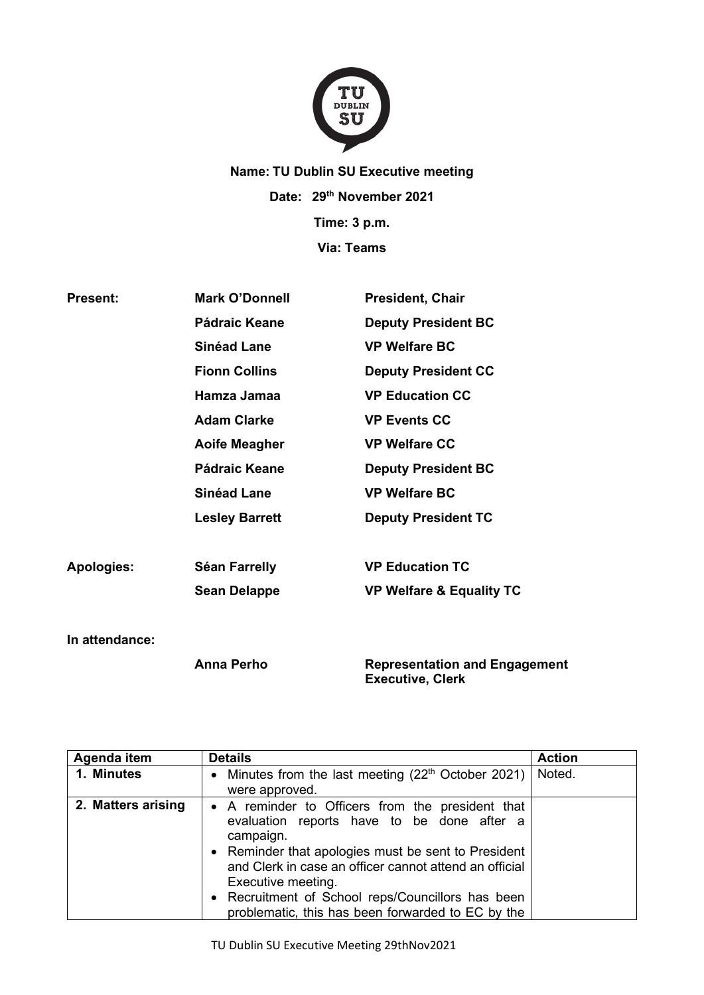

## **Name: TU Dublin SU Executive meeting Date: 29th November 2021 Time: 3 p.m. Via: Teams**

| <b>Present:</b>   | <b>Mark O'Donnell</b> | <b>President, Chair</b>                                             |  |
|-------------------|-----------------------|---------------------------------------------------------------------|--|
|                   | Pádraic Keane         | <b>Deputy President BC</b>                                          |  |
|                   | <b>Sinéad Lane</b>    | <b>VP Welfare BC</b>                                                |  |
|                   | <b>Fionn Collins</b>  | <b>Deputy President CC</b>                                          |  |
|                   | Hamza Jamaa           | <b>VP Education CC</b>                                              |  |
|                   | <b>Adam Clarke</b>    | <b>VP Events CC</b>                                                 |  |
|                   | <b>Aoife Meagher</b>  | <b>VP Welfare CC</b>                                                |  |
|                   | Pádraic Keane         | <b>Deputy President BC</b>                                          |  |
|                   | <b>Sinéad Lane</b>    | <b>VP Welfare BC</b>                                                |  |
|                   | <b>Lesley Barrett</b> | <b>Deputy President TC</b>                                          |  |
| <b>Apologies:</b> | <b>Séan Farrelly</b>  | <b>VP Education TC</b>                                              |  |
|                   | <b>Sean Delappe</b>   | <b>VP Welfare &amp; Equality TC</b>                                 |  |
| In attendance:    |                       |                                                                     |  |
|                   | <b>Anna Perho</b>     | <b>Representation and Engagement</b><br>$\sim$ $\sim$ $\sim$ $\sim$ |  |

**Executive, Clerk**

| Agenda item        | <b>Details</b>                                                                                                                                                                                                                                                                                                                                               | <b>Action</b> |
|--------------------|--------------------------------------------------------------------------------------------------------------------------------------------------------------------------------------------------------------------------------------------------------------------------------------------------------------------------------------------------------------|---------------|
| 1. Minutes         | • Minutes from the last meeting $(22th October 2021)$<br>were approved.                                                                                                                                                                                                                                                                                      | Noted.        |
| 2. Matters arising | • A reminder to Officers from the president that<br>evaluation reports have to be done after a<br>campaign.<br>• Reminder that apologies must be sent to President<br>and Clerk in case an officer cannot attend an official<br>Executive meeting.<br>• Recruitment of School reps/Councillors has been<br>problematic, this has been forwarded to EC by the |               |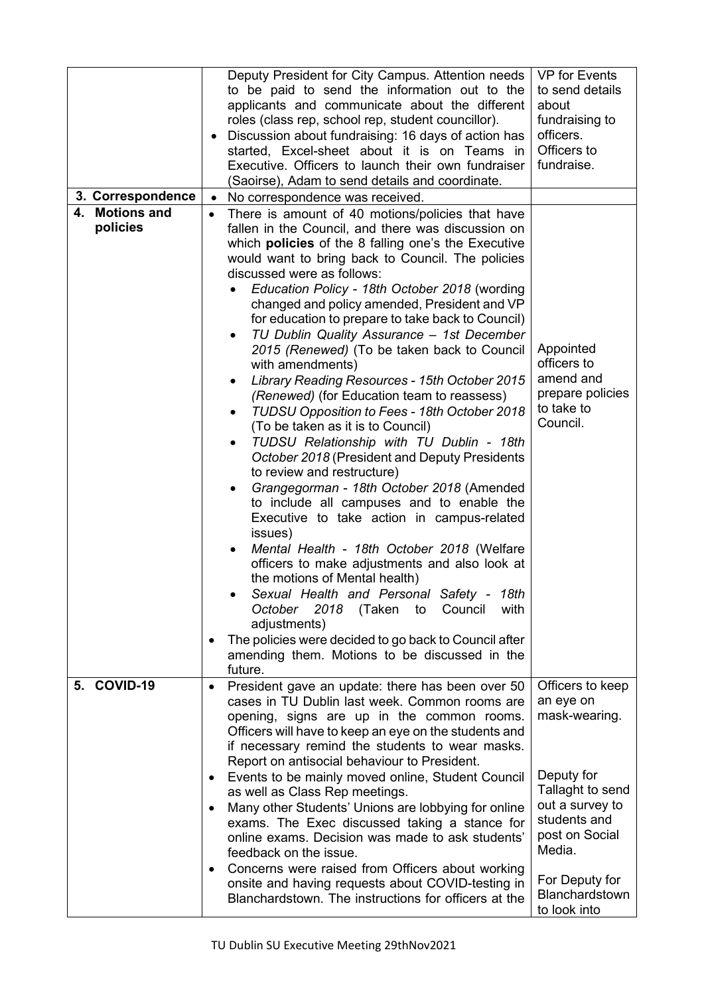|                            | Deputy President for City Campus. Attention needs<br>to be paid to send the information out to the<br>applicants and communicate about the different<br>roles (class rep, school rep, student councillor).<br>Discussion about fundraising: 16 days of action has<br>started, Excel-sheet about it is on Teams in<br>Executive. Officers to launch their own fundraiser<br>(Saoirse), Adam to send details and coordinate.                                                                                                                                                                                                                                                                                                                                                                                                                                                                                                                                                                                                                                                                                                                                                                                                                                                                                                                                                                                | <b>VP</b> for Events<br>to send details<br>about<br>fundraising to<br>officers.<br>Officers to<br>fundraise.                                                                           |
|----------------------------|-----------------------------------------------------------------------------------------------------------------------------------------------------------------------------------------------------------------------------------------------------------------------------------------------------------------------------------------------------------------------------------------------------------------------------------------------------------------------------------------------------------------------------------------------------------------------------------------------------------------------------------------------------------------------------------------------------------------------------------------------------------------------------------------------------------------------------------------------------------------------------------------------------------------------------------------------------------------------------------------------------------------------------------------------------------------------------------------------------------------------------------------------------------------------------------------------------------------------------------------------------------------------------------------------------------------------------------------------------------------------------------------------------------|----------------------------------------------------------------------------------------------------------------------------------------------------------------------------------------|
| 3. Correspondence          | No correspondence was received.<br>$\bullet$                                                                                                                                                                                                                                                                                                                                                                                                                                                                                                                                                                                                                                                                                                                                                                                                                                                                                                                                                                                                                                                                                                                                                                                                                                                                                                                                                              |                                                                                                                                                                                        |
| 4. Motions and<br>policies | There is amount of 40 motions/policies that have<br>$\bullet$<br>fallen in the Council, and there was discussion on<br>which <b>policies</b> of the 8 falling one's the Executive<br>would want to bring back to Council. The policies<br>discussed were as follows:<br>Education Policy - 18th October 2018 (wording<br>changed and policy amended, President and VP<br>for education to prepare to take back to Council)<br>TU Dublin Quality Assurance - 1st December<br>٠<br>2015 (Renewed) (To be taken back to Council<br>with amendments)<br>Library Reading Resources - 15th October 2015<br>(Renewed) (for Education team to reassess)<br>TUDSU Opposition to Fees - 18th October 2018<br>(To be taken as it is to Council)<br>TUDSU Relationship with TU Dublin - 18th<br>$\bullet$<br>October 2018 (President and Deputy Presidents<br>to review and restructure)<br>Grangegorman - 18th October 2018 (Amended<br>to include all campuses and to enable the<br>Executive to take action in campus-related<br>issues)<br>Mental Health - 18th October 2018 (Welfare<br>officers to make adjustments and also look at<br>the motions of Mental health)<br>Sexual Health and Personal Safety -<br>18th<br>2018<br>October<br>(Taken<br>to<br>Council<br>with<br>adjustments)<br>The policies were decided to go back to Council after<br>amending them. Motions to be discussed in the<br>future. | Appointed<br>officers to<br>amend and<br>prepare policies<br>to take to<br>Council.                                                                                                    |
| 5. COVID-19                | President gave an update: there has been over 50<br>$\bullet$                                                                                                                                                                                                                                                                                                                                                                                                                                                                                                                                                                                                                                                                                                                                                                                                                                                                                                                                                                                                                                                                                                                                                                                                                                                                                                                                             | Officers to keep                                                                                                                                                                       |
|                            | cases in TU Dublin last week. Common rooms are<br>opening, signs are up in the common rooms.<br>Officers will have to keep an eye on the students and<br>if necessary remind the students to wear masks.<br>Report on antisocial behaviour to President.<br>Events to be mainly moved online, Student Council<br>as well as Class Rep meetings.<br>Many other Students' Unions are lobbying for online<br>exams. The Exec discussed taking a stance for<br>online exams. Decision was made to ask students'<br>feedback on the issue.<br>Concerns were raised from Officers about working<br>onsite and having requests about COVID-testing in<br>Blanchardstown. The instructions for officers at the                                                                                                                                                                                                                                                                                                                                                                                                                                                                                                                                                                                                                                                                                                    | an eye on<br>mask-wearing.<br>Deputy for<br>Tallaght to send<br>out a survey to<br>students and<br>post on Social<br>Media.<br>For Deputy for<br><b>Blanchardstown</b><br>to look into |